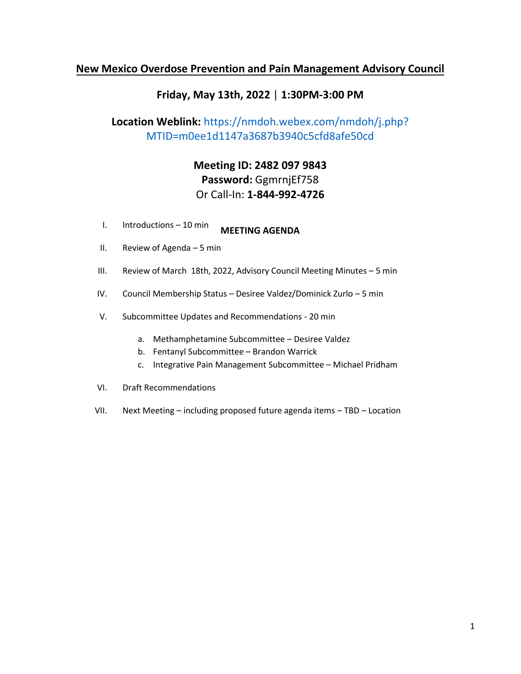# **New Mexico Overdose Prevention and Pain Management Advisory Council**

## **Friday, May 13th, 2022** | **1:30PM-3:00 PM**

# **Location Weblink:** https://n[mdoh.webex.c](https://nmdoh.webex.com/nmdoh/j.php?MTID=mf5711814fadcf14e3ff3cf28b005a7c1)om/nmdoh/j.php? MTID=m0ee1d1147a3687b3940c5cfd8afe50cd

# **Meeting ID: 2482 097 9843 Password:** GgmrnjEf758 Or Call-In: **1-844-992-4726**

- **I.** Introductions 10 min **MEETING AGENDA**
- II. Review of Agenda 5 min
- III. Review of March 18th, 2022, Advisory Council Meeting Minutes 5 min
- IV. Council Membership Status Desiree Valdez/Dominick Zurlo 5 min
- V. Subcommittee Updates and Recommendations 20 min
	- a. Methamphetamine Subcommittee Desiree Valdez
	- b. Fentanyl Subcommittee Brandon Warrick
	- c. Integrative Pain Management Subcommittee Michael Pridham
- VI. Draft Recommendations
- VII. Next Meeting including proposed future agenda items TBD Location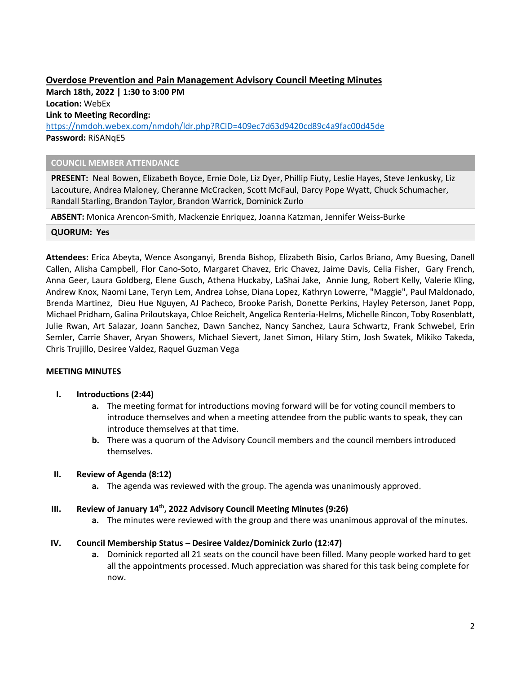## **Overdose Prevention and Pain Management Advisory Council Meeting Minutes**

**March 18th, 2022 | 1:30 to 3:00 PM Location:** WebEx **Link to Meeting Recording:** 

<https://nmdoh.webex.com/nmdoh/ldr.php?RCID=409ec7d63d9420cd89c4a9fac00d45de> **Password:** RiSANqE5

#### **COUNCIL MEMBER ATTENDANCE**

**PRESENT:** Neal Bowen, Elizabeth Boyce, Ernie Dole, Liz Dyer, Phillip Fiuty, Leslie Hayes, Steve Jenkusky, Liz Lacouture, Andrea Maloney, Cheranne McCracken, Scott McFaul, Darcy Pope Wyatt, Chuck Schumacher, Randall Starling, Brandon Taylor, Brandon Warrick, Dominick Zurlo

**ABSENT:** Monica Arencon-Smith, Mackenzie Enriquez, Joanna Katzman, Jennifer Weiss-Burke

**QUORUM: Yes**

**Attendees:** Erica Abeyta, Wence Asonganyi, Brenda Bishop, Elizabeth Bisio, Carlos Briano, Amy Buesing, Danell Callen, Alisha Campbell, Flor Cano-Soto, Margaret Chavez, Eric Chavez, Jaime Davis, Celia Fisher, Gary French, Anna Geer, Laura Goldberg, Elene Gusch, Athena Huckaby, LaShai Jake, Annie Jung, Robert Kelly, Valerie Kling, Andrew Knox, Naomi Lane, Teryn Lem, Andrea Lohse, Diana Lopez, Kathryn Lowerre, "Maggie", Paul Maldonado, Brenda Martinez, Dieu Hue Nguyen, AJ Pacheco, Brooke Parish, Donette Perkins, Hayley Peterson, Janet Popp, Michael Pridham, Galina Priloutskaya, Chloe Reichelt, Angelica Renteria-Helms, Michelle Rincon, Toby Rosenblatt, Julie Rwan, Art Salazar, Joann Sanchez, Dawn Sanchez, Nancy Sanchez, Laura Schwartz, Frank Schwebel, Erin Semler, Carrie Shaver, Aryan Showers, Michael Sievert, Janet Simon, Hilary Stim, Josh Swatek, Mikiko Takeda, Chris Trujillo, Desiree Valdez, Raquel Guzman Vega

#### **MEETING MINUTES**

#### **I. Introductions (2:44)**

- **a.** The meeting format for introductions moving forward will be for voting council members to introduce themselves and when a meeting attendee from the public wants to speak, they can introduce themselves at that time.
- **b.** There was a quorum of the Advisory Council members and the council members introduced themselves.

#### **II. Review of Agenda (8:12)**

**a.** The agenda was reviewed with the group. The agenda was unanimously approved.

#### **III. Review of January 14 th, 2022 Advisory Council Meeting Minutes (9:26)**

**a.** The minutes were reviewed with the group and there was unanimous approval of the minutes.

#### **IV. Council Membership Status – Desiree Valdez/Dominick Zurlo (12:47)**

**a.** Dominick reported all 21 seats on the council have been filled. Many people worked hard to get all the appointments processed. Much appreciation was shared for this task being complete for now.